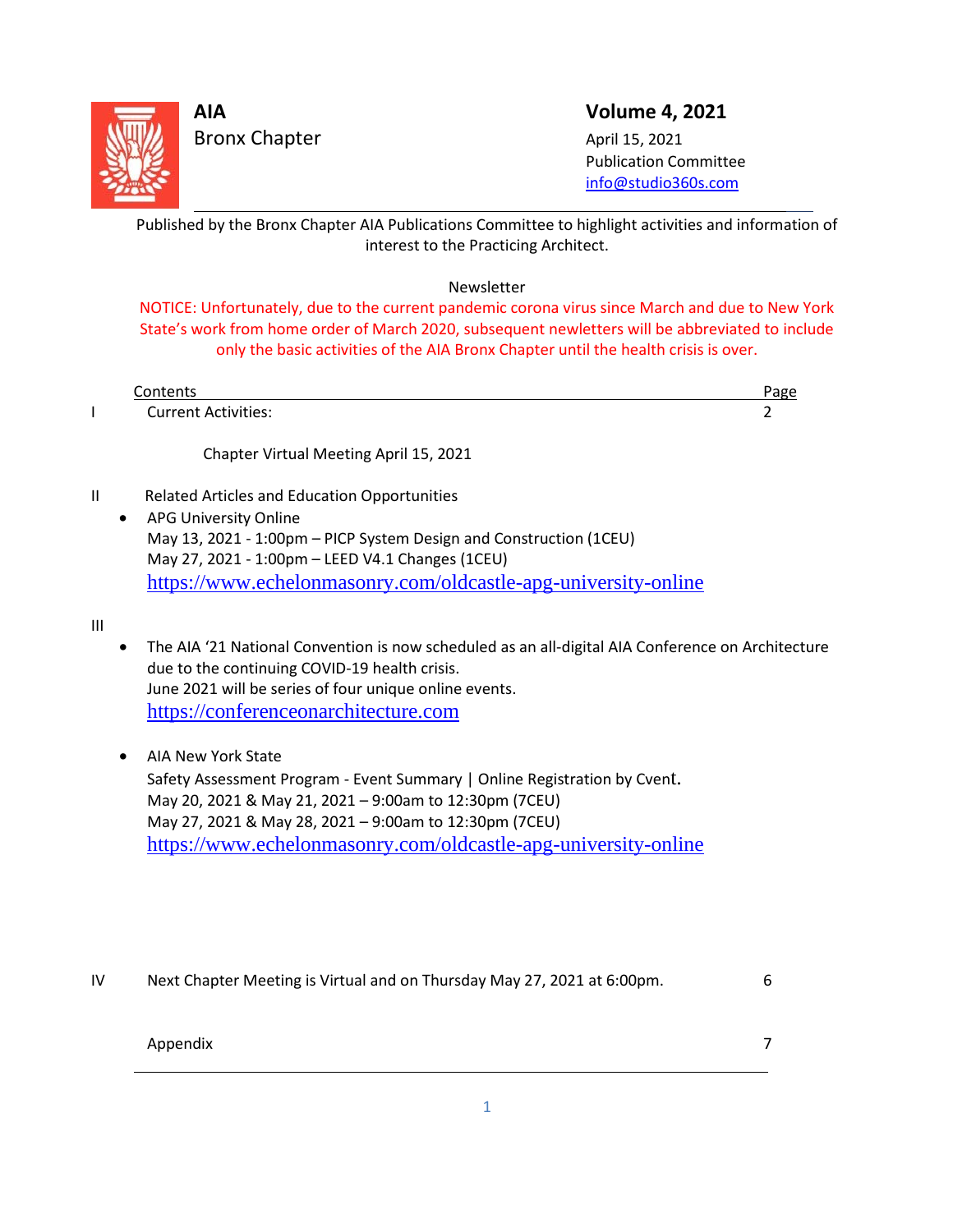

L

Bronx Chapter April 15, 2021

**AIA Volume 4, 2021**

 Publication Committee [info@studio360s.com](mailto:info@studio360s.com)

Published by the Bronx Chapter AIA Publications Committee to highlight activities and information of interest to the Practicing Architect.

Newsletter

NOTICE: Unfortunately, due to the current pandemic corona virus since March and due to New York State's work from home order of March 2020, subsequent newletters will be abbreviated to include only the basic activities of the AIA Bronx Chapter until the health crisis is over.

| Contents                   | άκε |
|----------------------------|-----|
| <b>Current Activities:</b> |     |

Chapter Virtual Meeting April 15, 2021

II Related Articles and Education Opportunities

• APG University Online May 13, 2021 - 1:00pm – PICP System Design and Construction (1CEU) May 27, 2021 - 1:00pm – LEED V4.1 Changes (1CEU) <https://www.echelonmasonry.com/oldcastle-apg-university-online>

III

- The AIA '21 National Convention is now scheduled as an all-digital AIA Conference on Architecture due to the continuing COVID-19 health crisis. June 2021 will be series of four unique online events. [https://conferenceonarchitecture.com](https://conferenceonarchitecture.com/)
- AIA New York State Safety Assessment Program - Event Summary | Online Registration by Cvent. May 20, 2021 & May 21, 2021 – 9:00am to 12:30pm (7CEU) May 27, 2021 & May 28, 2021 – 9:00am to 12:30pm (7CEU) <https://www.echelonmasonry.com/oldcastle-apg-university-online>
- IV Next Chapter Meeting is Virtual and on Thursday May 27, 2021 at 6:00pm. 6

### Appendix 7

 $\overline{\phantom{0}}$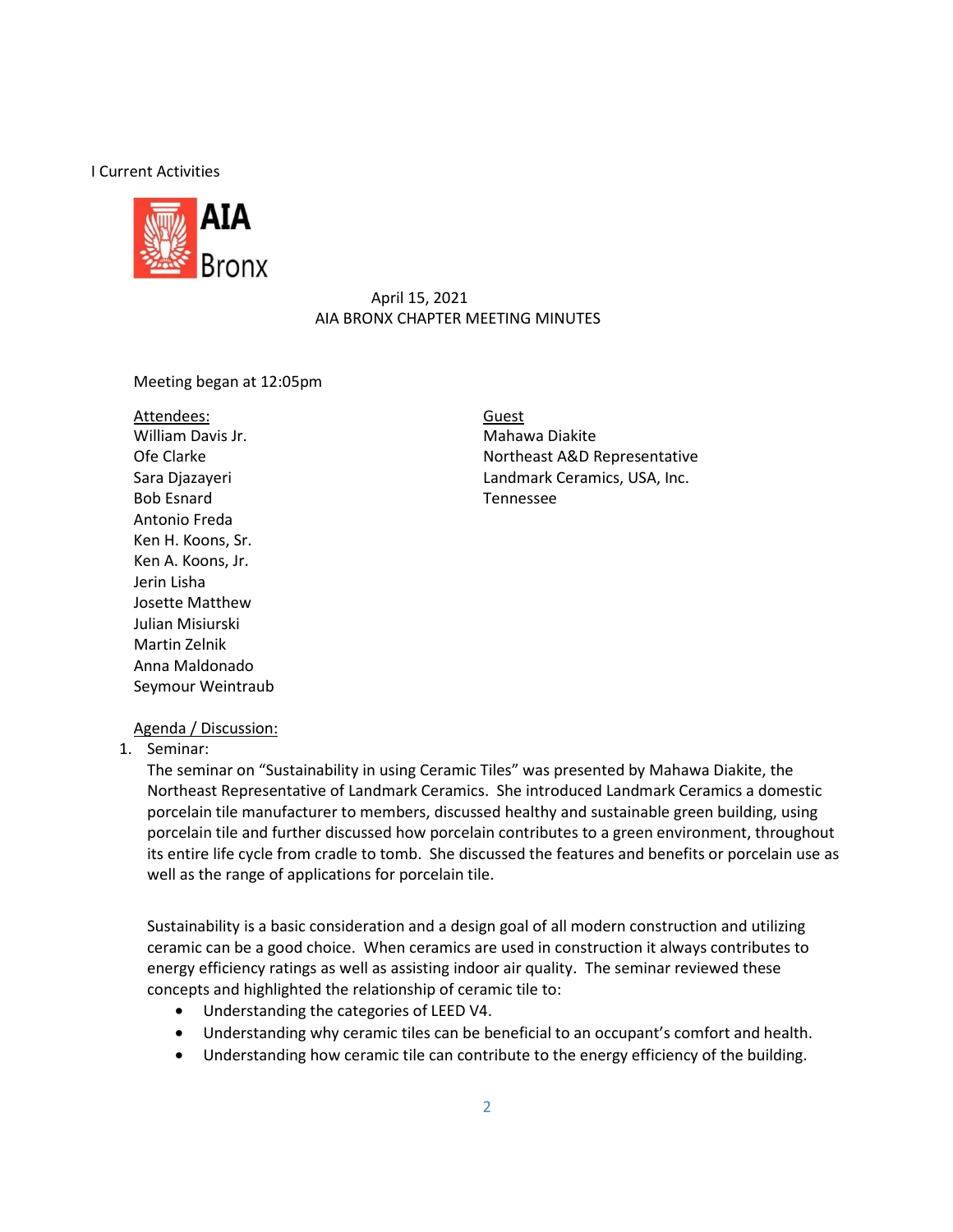#### I Current Activities



#### April 15, 2021 AIA BRONX CHAPTER MEETING MINUTES

#### Meeting began at 12:05pm

Attendees: William Davis Jr. Mahawa Diakite Bob Esnard Tennessee Antonio Freda Ken H. Koons, Sr. Ken A. Koons, Jr. Jerin Lisha Josette Matthew Julian Misiurski Martin Zelnik Anna Maldonado Seymour Weintraub

Guest Ofe Clarke Northeast A&D Representative Sara Djazayeri Landmark Ceramics, USA, Inc.

#### Agenda / Discussion:

1. Seminar:

The seminar on "Sustainability in using Ceramic Tiles" was presented by Mahawa Diakite, the Northeast Representative of Landmark Ceramics. She introduced Landmark Ceramics a domestic porcelain tile manufacturer to members, discussed healthy and sustainable green building, using porcelain tile and further discussed how porcelain contributes to a green environment, throughout its entire life cycle from cradle to tomb. She discussed the features and benefits or porcelain use as well as the range of applications for porcelain tile.

Sustainability is a basic consideration and a design goal of all modern construction and utilizing ceramic can be a good choice. When ceramics are used in construction it always contributes to energy efficiency ratings as well as assisting indoor air quality. The seminar reviewed these concepts and highlighted the relationship of ceramic tile to:

- Understanding the categories of LEED V4.
- Understanding why ceramic tiles can be beneficial to an occupant's comfort and health.
- Understanding how ceramic tile can contribute to the energy efficiency of the building.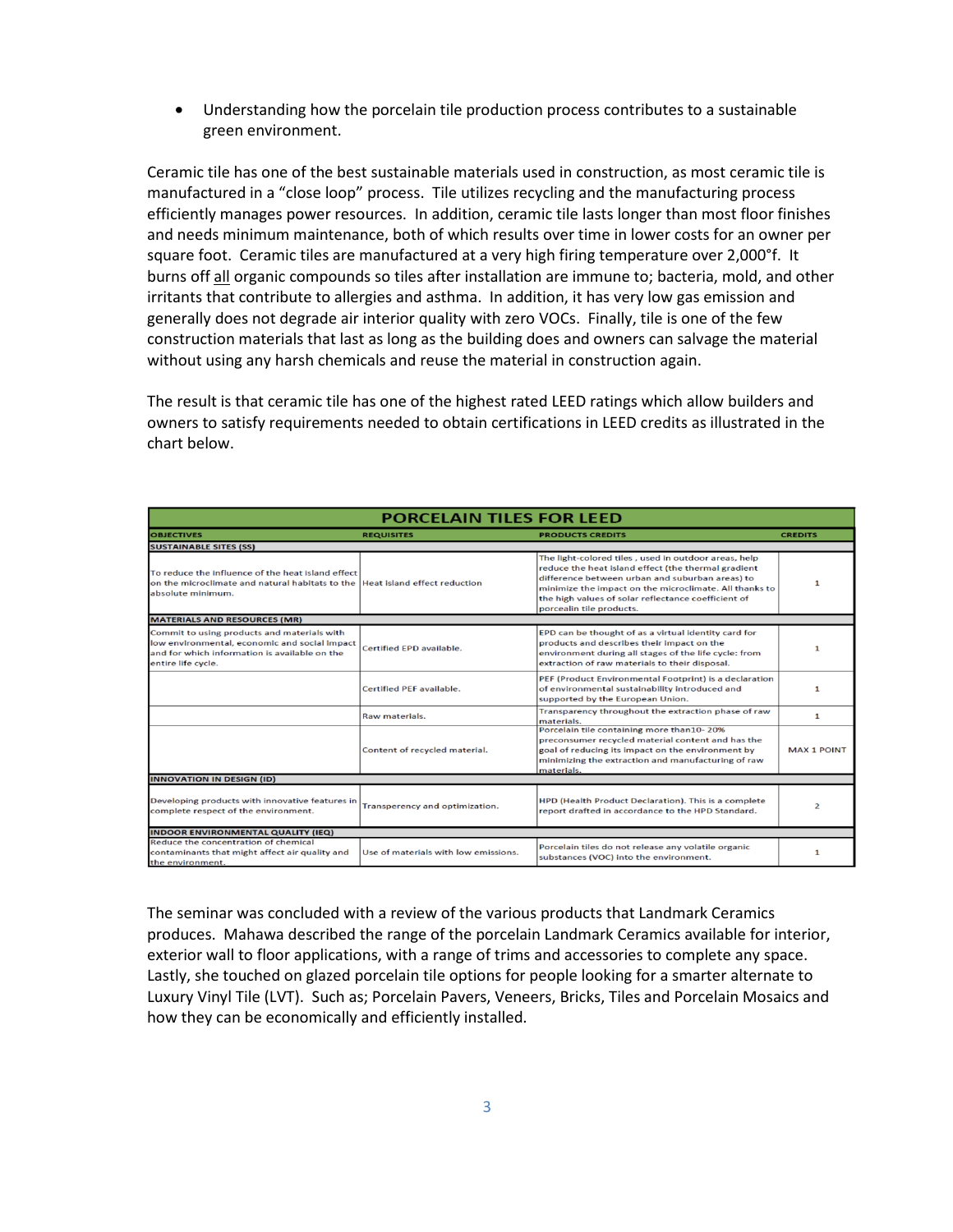• Understanding how the porcelain tile production process contributes to a sustainable green environment.

Ceramic tile has one of the best sustainable materials used in construction, as most ceramic tile is manufactured in a "close loop" process. Tile utilizes recycling and the manufacturing process efficiently manages power resources. In addition, ceramic tile lasts longer than most floor finishes and needs minimum maintenance, both of which results over time in lower costs for an owner per square foot. Ceramic tiles are manufactured at a very high firing temperature over 2,000°f. It burns off all organic compounds so tiles after installation are immune to; bacteria, mold, and other irritants that contribute to allergies and asthma. In addition, it has very low gas emission and generally does not degrade air interior quality with zero VOCs. Finally, tile is one of the few construction materials that last as long as the building does and owners can salvage the material without using any harsh chemicals and reuse the material in construction again.

The result is that ceramic tile has one of the highest rated LEED ratings which allow builders and owners to satisfy requirements needed to obtain certifications in LEED credits as illustrated in the chart below.

| <b>PORCELAIN TILES FOR LEED</b>                                                                                                                                     |                                      |                                                                                                                                                                                                                                                                                                             |                    |  |  |
|---------------------------------------------------------------------------------------------------------------------------------------------------------------------|--------------------------------------|-------------------------------------------------------------------------------------------------------------------------------------------------------------------------------------------------------------------------------------------------------------------------------------------------------------|--------------------|--|--|
| <b>OBJECTIVES</b>                                                                                                                                                   | <b>REQUISITES</b>                    | <b>PRODUCTS CREDITS</b>                                                                                                                                                                                                                                                                                     | <b>CREDITS</b>     |  |  |
| <b>SUSTAINABLE SITES (SS)</b>                                                                                                                                       |                                      |                                                                                                                                                                                                                                                                                                             |                    |  |  |
| To reduce the influence of the heat island effect<br>on the microclimate and natural habitats to the Heat island effect reduction<br>absolute minimum.              |                                      | The light-colored tiles, used in outdoor areas, help<br>reduce the heat island effect (the thermal gradient<br>difference between urban and suburban areas) to<br>minimize the impact on the microclimate. All thanks to<br>the high values of solar reflectance coefficient of<br>porcealin tile products. | 1                  |  |  |
| <b>MATERIALS AND RESOURCES (MR)</b>                                                                                                                                 |                                      |                                                                                                                                                                                                                                                                                                             |                    |  |  |
| Commit to using products and materials with<br>low environmental, economic and social impact<br>and for which information is available on the<br>entire life cycle. | Certified EPD available.             | EPD can be thought of as a virtual identity card for<br>products and describes their impact on the<br>environment during all stages of the life cycle: from<br>extraction of raw materials to their disposal.                                                                                               | $\mathbf{1}$       |  |  |
|                                                                                                                                                                     | <b>Certified PEF available.</b>      | PEF (Product Environmental Footprint) is a declaration<br>of environmental sustainability introduced and<br>supported by the European Union.                                                                                                                                                                | $\mathbf{1}$       |  |  |
|                                                                                                                                                                     | Raw materials.                       | Transparency throughout the extraction phase of raw<br>materials.                                                                                                                                                                                                                                           | $\mathbf{1}$       |  |  |
|                                                                                                                                                                     | Content of recycled material.        | Porcelain tile containing more than10-20%<br>preconsumer recycled material content and has the<br>goal of reducing its impact on the environment by<br>minimizing the extraction and manufacturing of raw<br>materials.                                                                                     | <b>MAX 1 POINT</b> |  |  |
| <b>INNOVATION IN DESIGN (ID)</b>                                                                                                                                    |                                      |                                                                                                                                                                                                                                                                                                             |                    |  |  |
| Developing products with innovative features in<br>complete respect of the environment.                                                                             | Transperency and optimization.       | HPD (Health Product Declaration). This is a complete<br>report drafted in accordance to the HPD Standard.                                                                                                                                                                                                   | $\overline{2}$     |  |  |
| <b>INDOOR ENVIRONMENTAL QUALITY (IEQ)</b>                                                                                                                           |                                      |                                                                                                                                                                                                                                                                                                             |                    |  |  |
| Reduce the concentration of chemical<br>contaminants that might affect air quality and<br>the environment.                                                          | Use of materials with low emissions. | Porcelain tiles do not release any volatile organic<br>substances (VOC) into the environment.                                                                                                                                                                                                               | $\mathbf{1}$       |  |  |

The seminar was concluded with a review of the various products that Landmark Ceramics produces. Mahawa described the range of the porcelain Landmark Ceramics available for interior, exterior wall to floor applications, with a range of trims and accessories to complete any space. Lastly, she touched on glazed porcelain tile options for people looking for a smarter alternate to Luxury Vinyl Tile (LVT). Such as; Porcelain Pavers, Veneers, Bricks, Tiles and Porcelain Mosaics and how they can be economically and efficiently installed.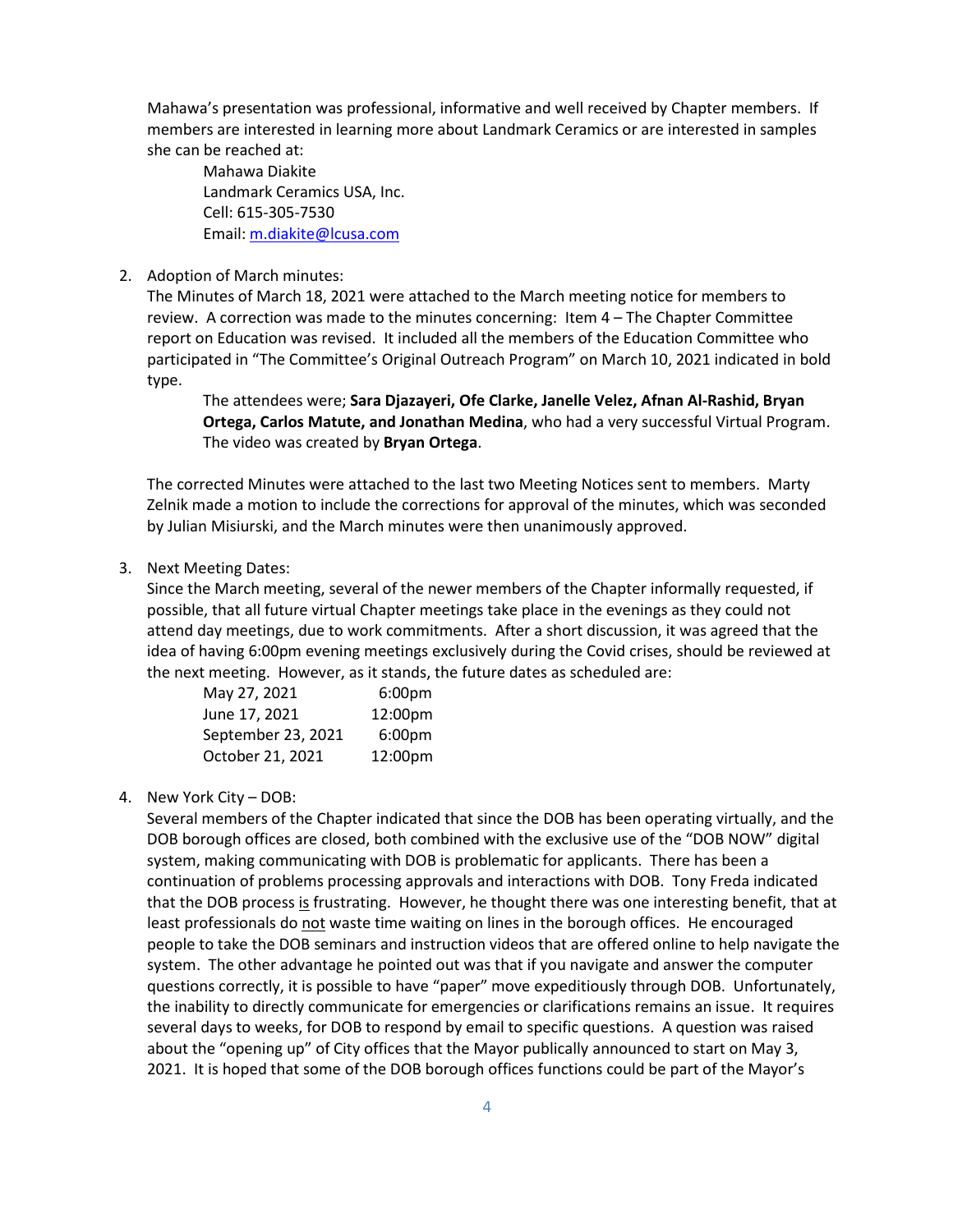Mahawa's presentation was professional, informative and well received by Chapter members. If members are interested in learning more about Landmark Ceramics or are interested in samples she can be reached at:

Mahawa Diakite Landmark Ceramics USA, Inc. Cell: 615-305-7530 Email[: m.diakite@lcusa.com](mailto:m.diakite@lcusa.com)

#### 2. Adoption of March minutes:

The Minutes of March 18, 2021 were attached to the March meeting notice for members to review. A correction was made to the minutes concerning: Item 4 – The Chapter Committee report on Education was revised. It included all the members of the Education Committee who participated in "The Committee's Original Outreach Program" on March 10, 2021 indicated in bold type.

The attendees were; **Sara Djazayeri, Ofe Clarke, Janelle Velez, Afnan Al-Rashid, Bryan Ortega, Carlos Matute, and Jonathan Medina**, who had a very successful Virtual Program. The video was created by **Bryan Ortega**.

The corrected Minutes were attached to the last two Meeting Notices sent to members. Marty Zelnik made a motion to include the corrections for approval of the minutes, which was seconded by Julian Misiurski, and the March minutes were then unanimously approved.

#### 3. Next Meeting Dates:

Since the March meeting, several of the newer members of the Chapter informally requested, if possible, that all future virtual Chapter meetings take place in the evenings as they could not attend day meetings, due to work commitments. After a short discussion, it was agreed that the idea of having 6:00pm evening meetings exclusively during the Covid crises, should be reviewed at the next meeting. However, as it stands, the future dates as scheduled are:

| May 27, 2021       | 6:00 <sub>pm</sub>  |
|--------------------|---------------------|
| June 17, 2021      | 12:00 <sub>pm</sub> |
| September 23, 2021 | 6:00 <sub>pm</sub>  |
| October 21, 2021   | 12:00pm             |

#### 4. New York City – DOB:

Several members of the Chapter indicated that since the DOB has been operating virtually, and the DOB borough offices are closed, both combined with the exclusive use of the "DOB NOW" digital system, making communicating with DOB is problematic for applicants. There has been a continuation of problems processing approvals and interactions with DOB. Tony Freda indicated that the DOB process is frustrating. However, he thought there was one interesting benefit, that at least professionals do not waste time waiting on lines in the borough offices. He encouraged people to take the DOB seminars and instruction videos that are offered online to help navigate the system. The other advantage he pointed out was that if you navigate and answer the computer questions correctly, it is possible to have "paper" move expeditiously through DOB. Unfortunately, the inability to directly communicate for emergencies or clarifications remains an issue. It requires several days to weeks, for DOB to respond by email to specific questions. A question was raised about the "opening up" of City offices that the Mayor publically announced to start on May 3, 2021. It is hoped that some of the DOB borough offices functions could be part of the Mayor's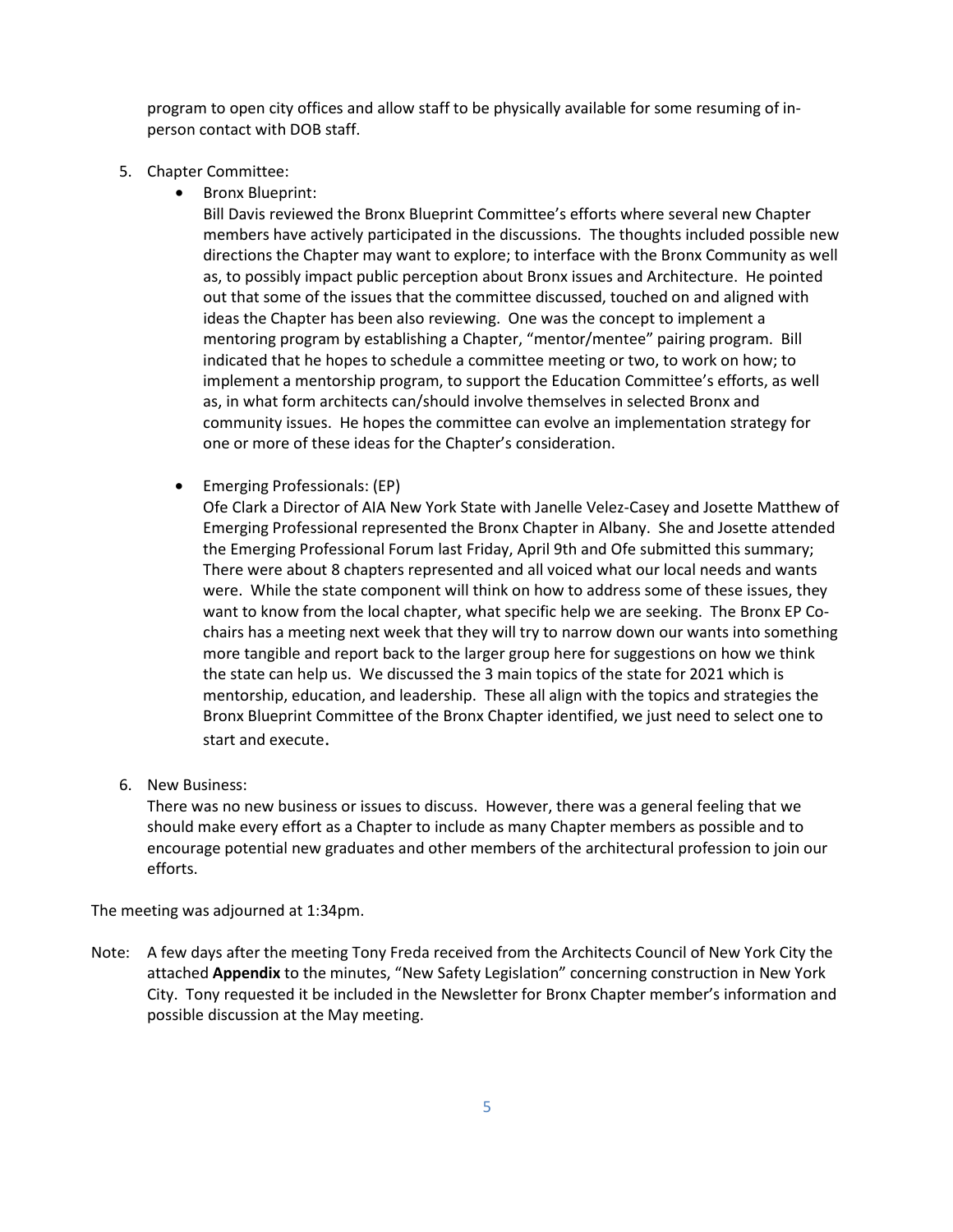program to open city offices and allow staff to be physically available for some resuming of inperson contact with DOB staff.

- 5. Chapter Committee:
	- Bronx Blueprint:

Bill Davis reviewed the Bronx Blueprint Committee's efforts where several new Chapter members have actively participated in the discussions. The thoughts included possible new directions the Chapter may want to explore; to interface with the Bronx Community as well as, to possibly impact public perception about Bronx issues and Architecture. He pointed out that some of the issues that the committee discussed, touched on and aligned with ideas the Chapter has been also reviewing. One was the concept to implement a mentoring program by establishing a Chapter, "mentor/mentee" pairing program. Bill indicated that he hopes to schedule a committee meeting or two, to work on how; to implement a mentorship program, to support the Education Committee's efforts, as well as, in what form architects can/should involve themselves in selected Bronx and community issues. He hopes the committee can evolve an implementation strategy for one or more of these ideas for the Chapter's consideration.

• Emerging Professionals: (EP)

Ofe Clark a Director of AIA New York State with Janelle Velez-Casey and Josette Matthew of Emerging Professional represented the Bronx Chapter in Albany. She and Josette attended the Emerging Professional Forum last Friday, April 9th and Ofe submitted this summary; There were about 8 chapters represented and all voiced what our local needs and wants were. While the state component will think on how to address some of these issues, they want to know from the local chapter, what specific help we are seeking. The Bronx EP Cochairs has a meeting next week that they will try to narrow down our wants into something more tangible and report back to the larger group here for suggestions on how we think the state can help us. We discussed the 3 main topics of the state for 2021 which is mentorship, education, and leadership. These all align with the topics and strategies the Bronx Blueprint Committee of the Bronx Chapter identified, we just need to select one to start and execute.

6. New Business:

There was no new business or issues to discuss. However, there was a general feeling that we should make every effort as a Chapter to include as many Chapter members as possible and to encourage potential new graduates and other members of the architectural profession to join our efforts.

The meeting was adjourned at 1:34pm.

Note: A few days after the meeting Tony Freda received from the Architects Council of New York City the attached **Appendix** to the minutes, "New Safety Legislation" concerning construction in New York City. Tony requested it be included in the Newsletter for Bronx Chapter member's information and possible discussion at the May meeting.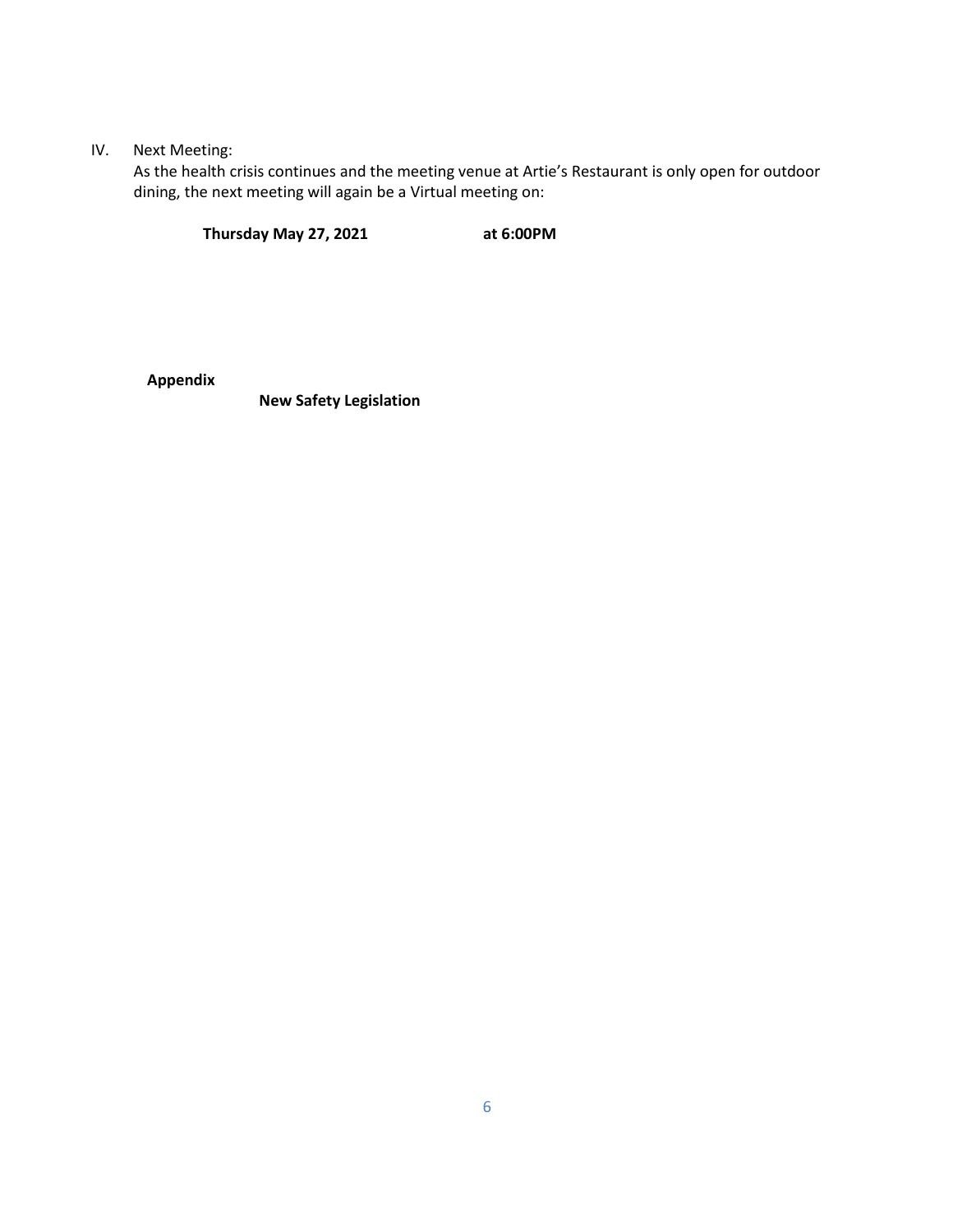## IV. Next Meeting:

As the health crisis continues and the meeting venue at Artie's Restaurant is only open for outdoor dining, the next meeting will again be a Virtual meeting on:

**Thursday May 27, 2021 at 6:00PM**

**Appendix**

**New Safety Legislation**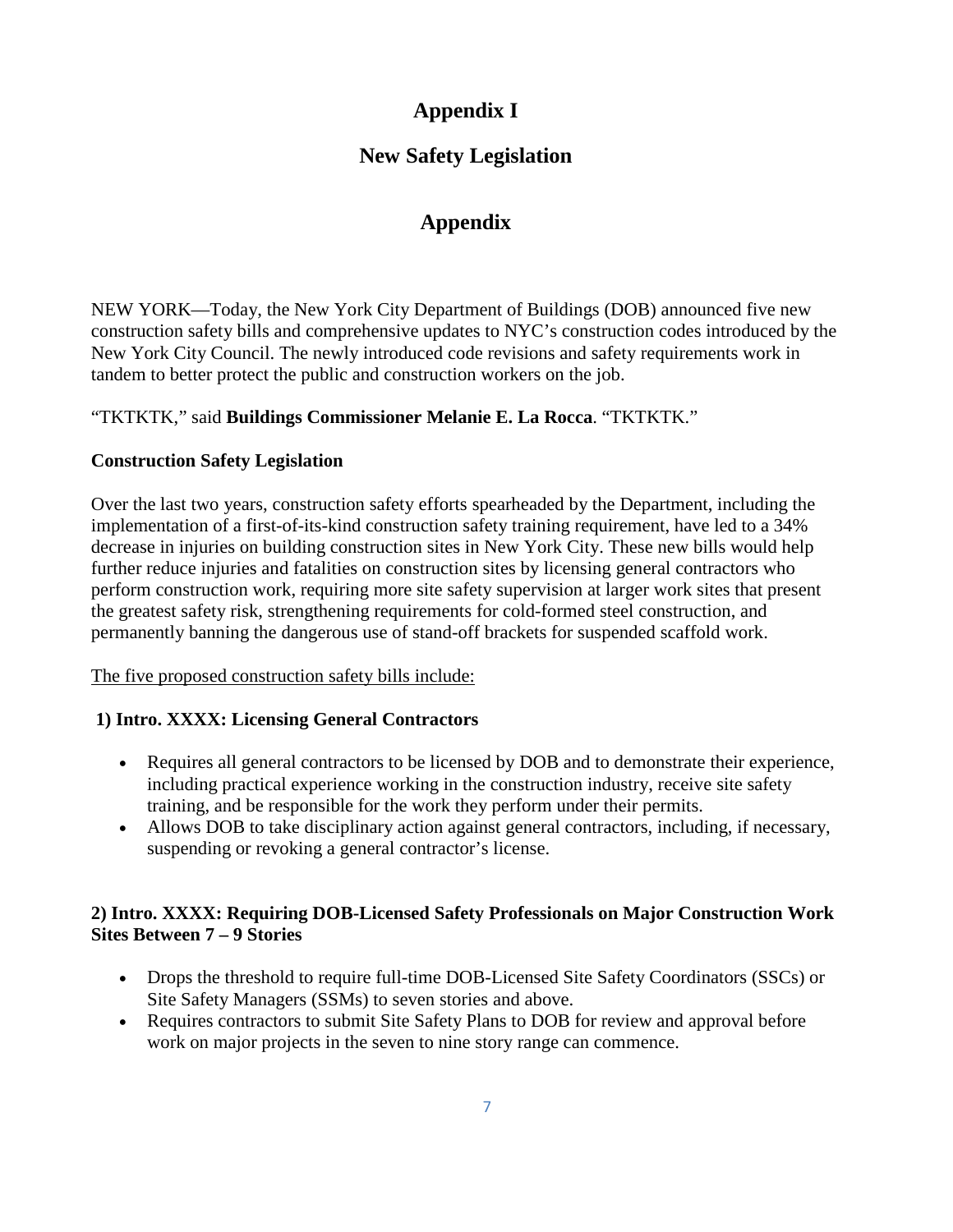# **Appendix I**

# **New Safety Legislation**

# **Appendix**

NEW YORK—Today, the New York City Department of Buildings (DOB) announced five new construction safety bills and comprehensive updates to NYC's construction codes introduced by the New York City Council. The newly introduced code revisions and safety requirements work in tandem to better protect the public and construction workers on the job.

# "TKTKTK," said **Buildings Commissioner Melanie E. La Rocca**. "TKTKTK."

# **Construction Safety Legislation**

Over the last two years, construction safety efforts spearheaded by the Department, including the implementation of a first-of-its-kind construction safety training requirement, have led to a 34% decrease in injuries on building construction sites in New York City. These new bills would help further reduce injuries and fatalities on construction sites by licensing general contractors who perform construction work, requiring more site safety supervision at larger work sites that present the greatest safety risk, strengthening requirements for cold-formed steel construction, and permanently banning the dangerous use of stand-off brackets for suspended scaffold work.

The five proposed construction safety bills include:

# **1) Intro. XXXX: Licensing General Contractors**

- Requires all general contractors to be licensed by DOB and to demonstrate their experience, including practical experience working in the construction industry, receive site safety training, and be responsible for the work they perform under their permits.
- Allows DOB to take disciplinary action against general contractors, including, if necessary, suspending or revoking a general contractor's license.

# **2) Intro. XXXX: Requiring DOB-Licensed Safety Professionals on Major Construction Work Sites Between 7 – 9 Stories**

- Drops the threshold to require full-time DOB-Licensed Site Safety Coordinators (SSCs) or Site Safety Managers (SSMs) to seven stories and above.
- Requires contractors to submit Site Safety Plans to DOB for review and approval before work on major projects in the seven to nine story range can commence.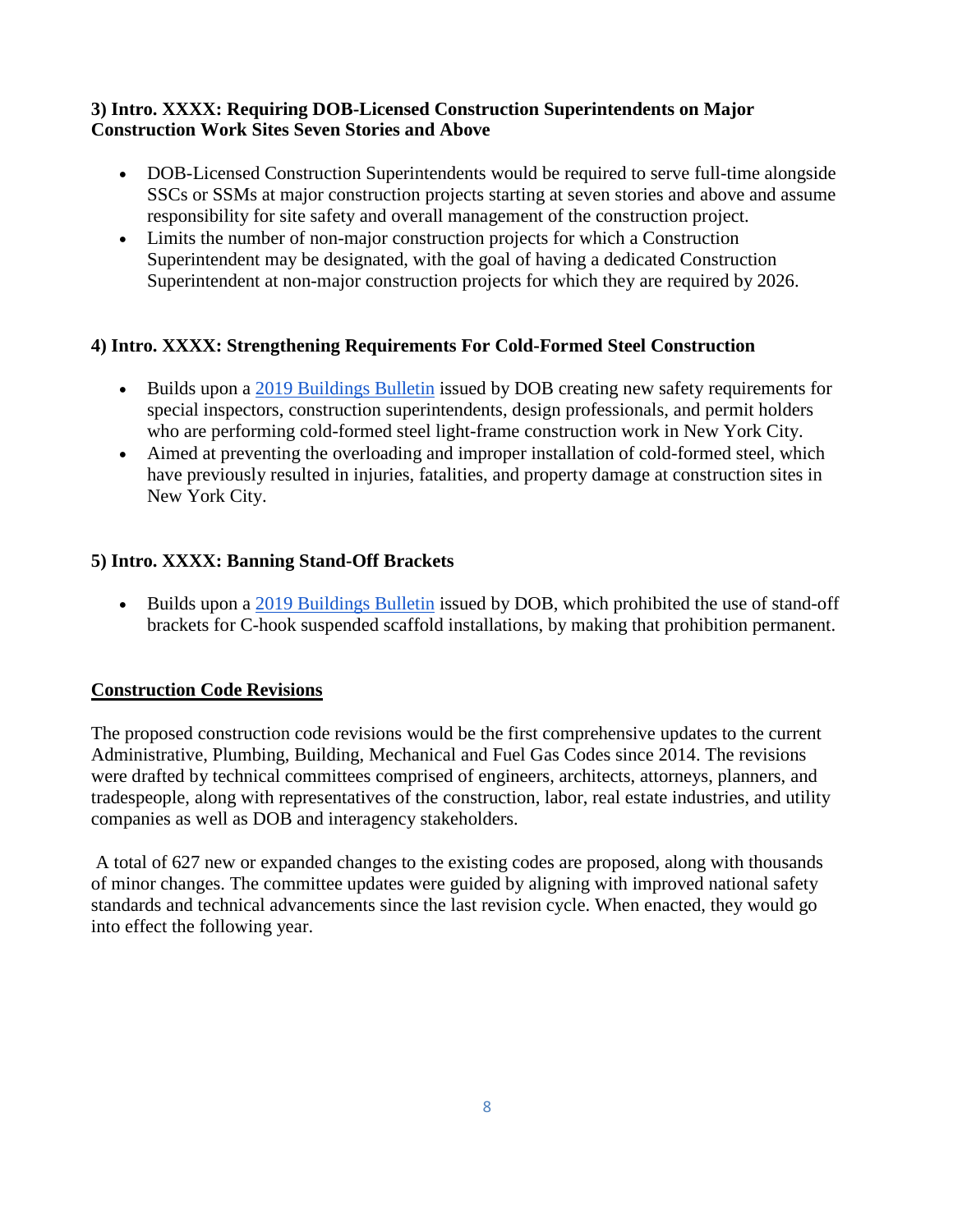## **3) Intro. XXXX: Requiring DOB-Licensed Construction Superintendents on Major Construction Work Sites Seven Stories and Above**

- DOB-Licensed Construction Superintendents would be required to serve full-time alongside SSCs or SSMs at major construction projects starting at seven stories and above and assume responsibility for site safety and overall management of the construction project.
- Limits the number of non-major construction projects for which a Construction Superintendent may be designated, with the goal of having a dedicated Construction Superintendent at non-major construction projects for which they are required by 2026.

# **4) Intro. XXXX: Strengthening Requirements For Cold-Formed Steel Construction**

- Builds upon a 2019 [Buildings](https://na01.safelinks.protection.outlook.com/?url=https%3A%2F%2Fwww1.nyc.gov%2Fassets%2Fbuildings%2Fbldgs_bulletins%2Fbb_2019-011.pdf&data=04%7C01%7C%7Cdb379f1c396c452d92c208d9041bd6e4%7C84df9e7fe9f640afb435aaaaaaaaaaaa%7C1%7C0%7C637545339877620091%7CUnknown%7CTWFpbGZsb3d8eyJWIjoiMC4wLjAwMDAiLCJQIjoiV2luMzIiLCJBTiI6Ik1haWwiLCJXVCI6Mn0%3D%7C1000&sdata=vekkkVKequ3T2UFErO0YWI1LKFX3Bwl6HPhTXsc5Uw8%3D&reserved=0) Bulletin issued by DOB creating new safety requirements for special inspectors, construction superintendents, design professionals, and permit holders who are performing cold-formed steel light-frame construction work in New York City.
- Aimed at preventing the overloading and improper installation of cold-formed steel, which have previously resulted in injuries, fatalities, and property damage at construction sites in New York City.

# **5) Intro. XXXX: Banning Stand-Off Brackets**

• Builds upon a 2019 [Buildings](https://na01.safelinks.protection.outlook.com/?url=https%3A%2F%2Fwww1.nyc.gov%2Fassets%2Fbuildings%2Fbldgs_bulletins%2Fbb_2019-006.pdf&data=04%7C01%7C%7Cdb379f1c396c452d92c208d9041bd6e4%7C84df9e7fe9f640afb435aaaaaaaaaaaa%7C1%7C0%7C637545339877620091%7CUnknown%7CTWFpbGZsb3d8eyJWIjoiMC4wLjAwMDAiLCJQIjoiV2luMzIiLCJBTiI6Ik1haWwiLCJXVCI6Mn0%3D%7C1000&sdata=HLSVLERu6UXGO%2BeM6dWD689zDhQ9XkGCQwGwlkCiSdU%3D&reserved=0) Bulletin issued by DOB, which prohibited the use of stand-off brackets for C-hook suspended scaffold installations, by making that prohibition permanent.

# **Construction Code Revisions**

The proposed construction code revisions would be the first comprehensive updates to the current Administrative, Plumbing, Building, Mechanical and Fuel Gas Codes since 2014. The revisions were drafted by technical committees comprised of engineers, architects, attorneys, planners, and tradespeople, along with representatives of the construction, labor, real estate industries, and utility companies as well as DOB and interagency stakeholders.

A total of 627 new or expanded changes to the existing codes are proposed, along with thousands of minor changes. The committee updates were guided by aligning with improved national safety standards and technical advancements since the last revision cycle. When enacted, they would go into effect the following year.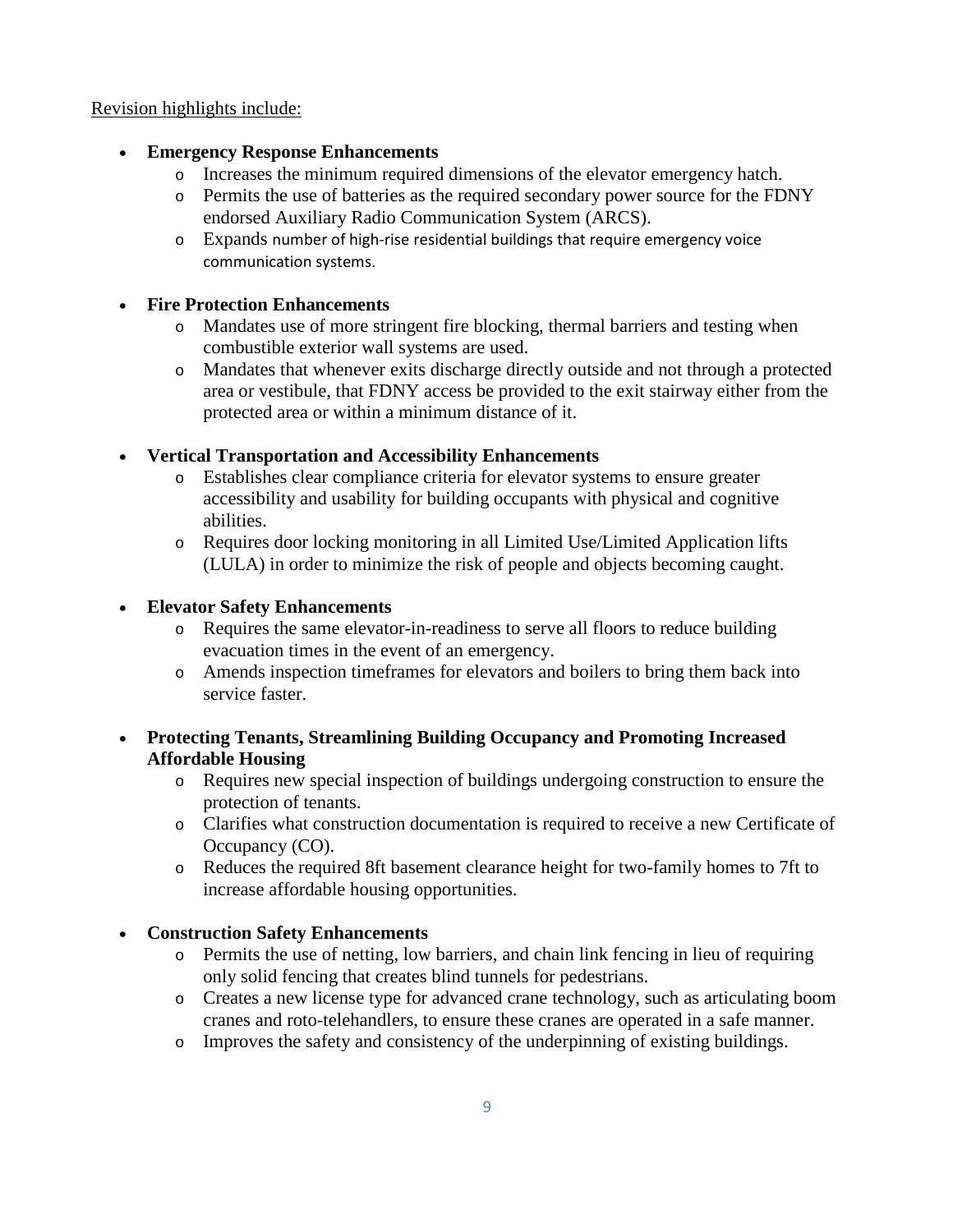### Revision highlights include:

# • **Emergency Response Enhancements**

- o Increases the minimum required dimensions of the elevator emergency hatch.
- o Permits the use of batteries as the required secondary power source for the FDNY endorsed Auxiliary Radio Communication System (ARCS).
- o Expands number of high-rise residential buildings that require emergency voice communication systems.

## • **Fire Protection Enhancements**

- o Mandates use of more stringent fire blocking, thermal barriers and testing when combustible exterior wall systems are used.
- o Mandates that whenever exits discharge directly outside and not through a protected area or vestibule, that FDNY access be provided to the exit stairway either from the protected area or within a minimum distance of it.

# • **Vertical Transportation and Accessibility Enhancements**

- o Establishes clear compliance criteria for elevator systems to ensure greater accessibility and usability for building occupants with physical and cognitive abilities.
- o Requires door locking monitoring in all Limited Use/Limited Application lifts (LULA) in order to minimize the risk of people and objects becoming caught.

# • **Elevator Safety Enhancements**

- o Requires the same elevator-in-readiness to serve all floors to reduce building evacuation times in the event of an emergency.
- o Amends inspection timeframes for elevators and boilers to bring them back into service faster.

# • **Protecting Tenants, Streamlining Building Occupancy and Promoting Increased Affordable Housing**

- o Requires new special inspection of buildings undergoing construction to ensure the protection of tenants.
- o Clarifies what construction documentation is required to receive a new Certificate of Occupancy (CO).
- o Reduces the required 8ft basement clearance height for two-family homes to 7ft to increase affordable housing opportunities.

# • **Construction Safety Enhancements**

- o Permits the use of netting, low barriers, and chain link fencing in lieu of requiring only solid fencing that creates blind tunnels for pedestrians.
- o Creates a new license type for advanced crane technology, such as articulating boom cranes and roto-telehandlers, to ensure these cranes are operated in a safe manner.
- o Improves the safety and consistency of the underpinning of existing buildings.